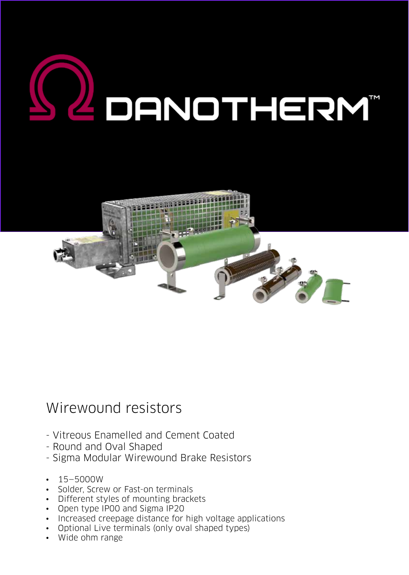



# Wirewound resistors

- Vitreous Enamelled and Cement Coated
- Round and Oval Shaped
- Sigma Modular Wirewound Brake Resistors
- 15–5000W
- Solder, Screw or Fast-on terminals
- Different styles of mounting brackets
- Open type IP00 and Sigma IP20
- Increased creepage distance for high voltage applications
- Optional Live terminals (only oval shaped types)
- Wide ohm range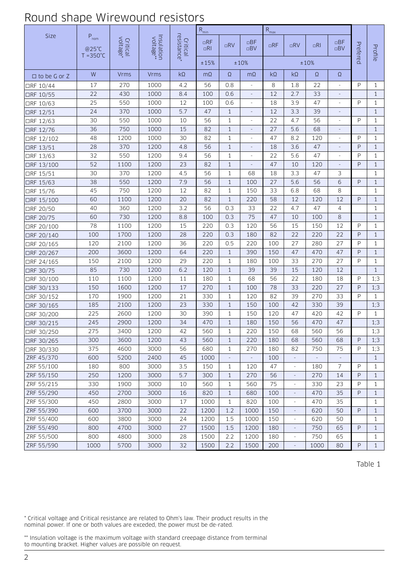## Round shape Wirewound resistors

| Size                | $P_{nom}$                   |                      |                         |                         | $R_{min}$              |              |                          | $R_{\text{max}}$ |                          |          |                        |          |              |
|---------------------|-----------------------------|----------------------|-------------------------|-------------------------|------------------------|--------------|--------------------------|------------------|--------------------------|----------|------------------------|----------|--------------|
|                     | @25°C<br>$T = 350^{\circ}C$ | Critical<br>voltage* | Insulation<br>voltage** | Critical<br>resistance* | $\Box$ RF<br>$\Box$ RI | $\n  IRV\n$  | $\Box$ BF<br>$\Box$ BV   | RF               | $\n  RV\n$               | RI       | $\Box$ BF<br>$\Box$ BV | Prefered | Profile      |
|                     |                             |                      |                         |                         | ±15%                   |              | $\pm 10\%$               |                  |                          | ±10%     |                        |          |              |
| $\Box$ to be G or Z | W                           | <b>Vrms</b>          | <b>Vrms</b>             | $k\Omega$               | $m\Omega$              | $\Omega$     | $m\Omega$                | $k\Omega$        | $k\Omega$                | $\Omega$ | $\Omega$               |          |              |
| □RF 10/44           | 17                          | 270                  | 1000                    | 4.2                     | 56                     | 0.8          | ÷,                       | 8                | 1.8                      | 22       |                        | P        | $\mathbf{1}$ |
| □RF 10/55           | 22                          | 430                  | 1000                    | 8.4                     | 100                    | 0.6          | $\Box$                   | 12               | 2.7                      | 33       | $\overline{a}$         |          | $\mathbf{1}$ |
| □RF 10/63           | 25                          | 550                  | 1000                    | 12                      | 100                    | 0.6          |                          | 18               | 3.9                      | 47       |                        | P        | $\mathbf{1}$ |
| □RF 12/51           | 24                          | 370                  | 1000                    | 5.7                     | 47                     | $\mathbf{1}$ |                          | 12               | 3.3                      | 39       |                        |          | $\mathbf{1}$ |
| □RF 12/63           | 30                          | 550                  | 1000                    | 10                      | 56                     | $\mathbf{1}$ | ÷,                       | 22               | 4.7                      | 56       | ÷,                     | P        | $\mathbf{1}$ |
| □RF 12/76           | 36                          | 750                  | 1000                    | 15                      | 82                     | $\mathbf{1}$ | $\overline{\phantom{a}}$ | 27               | 5.6                      | 68       |                        |          | $\mathbf{1}$ |
| □RF 12/102          | 48                          | 1200                 | 1000                    | 30                      | 82                     | $\mathbf{1}$ | ÷,                       | 47               | 8.2                      | 120      | $\overline{a}$         | P        | $\mathbf{1}$ |
| □RF 13/51           | 28                          | 370                  | 1200                    | 4.8                     | 56                     | $\mathbf{1}$ | $\Box$                   | 18               | 3.6                      | 47       |                        | P        | $\mathbf{1}$ |
| □RF 13/63           | 32                          | 550                  | 1200                    | 9.4                     | 56                     | $\mathbf{1}$ |                          | 22               | 5.6                      | 47       |                        | P        | $\mathbf{1}$ |
| □RF 13/100          | 52                          | 1100                 | 1200                    | 23                      | 82                     | $\mathbf{1}$ |                          | 47               | 10                       | 120      |                        | P        | $\mathbf{1}$ |
| □RF 15/51           | 30                          | 370                  | 1200                    | 4.5                     | 56                     | $\mathbf{1}$ | 68                       | 18               | 3.3                      | 47       | 3                      |          | $\mathbf{1}$ |
| □RF 15/63           | 38                          | 550                  | 1200                    | 7.9                     | 56                     | $\mathbf{1}$ | 100                      | 27               | 5.6                      | 56       | 6                      | P        | $\mathbf{1}$ |
| □RF 15/76           | 45                          | 750                  | 1200                    | 12                      | 82                     | 1            | 150                      | 33               | 6.8                      | 68       | 8                      |          | $\mathbf{1}$ |
| □RF 15/100          | 60                          | 1100                 | 1200                    | 20                      | 82                     | $\mathbf{1}$ | 220                      | 58               | 12                       | 120      | 12                     | P        | $\mathbf{1}$ |
| □RF 20/50           | 40                          | 360                  | 1200                    | 3.2                     | 56                     | 0.3          | 33                       | 22               | 4.7                      | 47       | 4                      |          | $\mathbf{1}$ |
| □RF 20/75           | 60                          | 730                  | 1200                    | 8.8                     | 100                    | 0.3          | 75                       | 47               | 10                       | 100      | 8                      |          | $\mathbf{1}$ |
| □RF 20/100          | 78                          | 1100                 | 1200                    | 15                      | 220                    | 0.3          | 120                      | 56               | 15                       | 150      | 12                     | P        | $\mathbf{1}$ |
| □RF 20/140          | 100                         | 1700                 | 1200                    | 28                      | 220                    | 0.3          | 180                      | 82               | 22                       | 220      | 22                     | P        | $\mathbf{1}$ |
| □RF 20/165          | 120                         | 2100                 | 1200                    | 36                      | 220                    | 0.5          | 220                      | 100              | 27                       | 280      | 27                     | P        | $\mathbf{1}$ |
| □RF 20/267          | 200                         | 3600                 | 1200                    | 64                      | 220                    | $\mathbf{1}$ | 390                      | 150              | 47                       | 470      | 47                     | P        | $\mathbf{1}$ |
| □RF 24/165          | 150                         | 2100                 | 1200                    | 29                      | 220                    | $\mathbf{1}$ | 180                      | 100              | 33                       | 270      | 27                     | P        | $\mathbf{1}$ |
| □RF 30/75           | 85                          | 730                  | 1200                    | 6.2                     | 120                    | $\mathbf{1}$ | 39                       | 39               | 15                       | 120      | 12                     |          | $\mathbf{1}$ |
| □RF 30/100          | 110                         | 1100                 | 1200                    | 11                      | 180                    | 1            | 68                       | 56               | 22                       | 180      | 18                     | P        | 1;3          |
| □RF 30/133          | 150                         | 1600                 | 1200                    | 17                      | 270                    | $\mathbf{1}$ | 100                      | 78               | 33                       | 220      | 27                     | P        | 1;3          |
| □RF 30/152          | 170                         | 1900                 | 1200                    | 21                      | 330                    | 1            | 120                      | 82               | 39                       | 270      | 33                     | P        | $\mathbf{1}$ |
| □RF 30/165          | 185                         | 2100                 | 1200                    | 23                      | 330                    | $\mathbf{1}$ | 150                      | 100              | 42                       | 330      | 39                     |          | 1;3          |
| □RF 30/200          | 225                         | 2600                 | 1200                    | 30                      | 390                    | $\mathbf{1}$ | 150                      | 120              | 47                       | 420      | 42                     | P        | $\mathbf{1}$ |
| □RF 30/215          | 245                         | 2900                 | 1200                    | 34                      | 470                    | $\mathbf{1}$ | 180                      | 150              | 56                       | 470      | 47                     |          | 1;3          |
| □RF 30/250          | 275                         | 3400                 | 1200                    | 42                      | 560                    | $\mathbf{1}$ | 220                      | 150              | 68                       | 560      | 56                     |          | 1;3          |
| □RF 30/265          | 300                         | 3600                 | 1200                    | 43                      | 560                    | $\mathbf{1}$ | 220                      | 180              | 68                       | 560      | 68                     | P        | 1;3          |
| □RF 30/330          | 375                         | 4600                 | 3000                    | 56                      | 680                    | $\mathbf{1}$ | 270                      | 180              | 82                       | 750      | 75                     | P        | 1;3          |
| ZRF 45/370          | 600                         | 5200                 | 2400                    | 45                      | 1000                   |              |                          | 100              |                          |          |                        |          | $\mathbf{1}$ |
| ZRF 55/100          | 180                         | 800                  | 3000                    | 3.5                     | 150                    | 1            | 120                      | 47               | $\overline{\phantom{a}}$ | 180      | $\overline{7}$         | P        | 1            |
| ZRF 55/150          | 250                         | 1200                 | 3000                    | 5.7                     | 300                    | $\mathbf{1}$ | 270                      | 56               | $\equiv$                 | 270      | 14                     | P        | $\mathbf{1}$ |
| ZRF 55/215          | 330                         | 1900                 | 3000                    | 10                      | 560                    | $\mathbf{1}$ | 560                      | 75               | $\blacksquare$           | 330      | 23                     | P        | $\mathbf{1}$ |
| ZRF 55/290          | 450                         | 2700                 | 3000                    | 16                      | 820                    | $\mathbf{1}$ | 680                      | 100              | $\blacksquare$           | 470      | 35                     | P        | $\mathbf{1}$ |
| ZRF 55/300          | 450                         | 2800                 | 3000                    | 17                      | 1000                   | $\mathbf{1}$ | 820                      | 100              | $\overline{\phantom{a}}$ | 470      | 35                     |          | $\mathbf{1}$ |
| ZRF 55/390          | 600                         | 3700                 | 3000                    | 22                      | 1200                   | 1.2          | 1000                     | 150              | $\blacksquare$           | 620      | 50                     | P        | $\mathbf{1}$ |
| ZRF 55/400          | 600                         | 3800                 | 3000                    | 24                      | 1200                   | 1.5          | 1000                     | 150              | $\overline{\phantom{a}}$ | 620      | 50                     |          | $\mathbf{1}$ |
| ZRF 55/490          | 800                         | 4700                 | 3000                    | 27                      | 1500                   | 1.5          | 1200                     | 180              | $\overline{\phantom{a}}$ | 750      | 65                     | P        | $\mathbf{1}$ |
| ZRF 55/500          | 800                         | 4800                 | 3000                    | 28                      | 1500                   | 2.2          | 1200                     | 180              | $\blacksquare$           | 750      | 65                     |          | $\mathbf{1}$ |
| ZRF 55/590          | 1000                        | 5700                 | 3000                    | 32                      | 1500                   | 2.2          | 1500                     | 200              | $\Box$                   | 1000     | 80                     | P        | $\mathbf{1}$ |

Table 1

\* Critical voltage and Critical resistance are related to Ohm's law. Their product results in the nominal power. If one or both values are exceded, the power must be de-rated.

\*\* Insulation voltage is the maximum voltage with standard creepage distance from terminal to mounting bracket. Higher values are possible on request.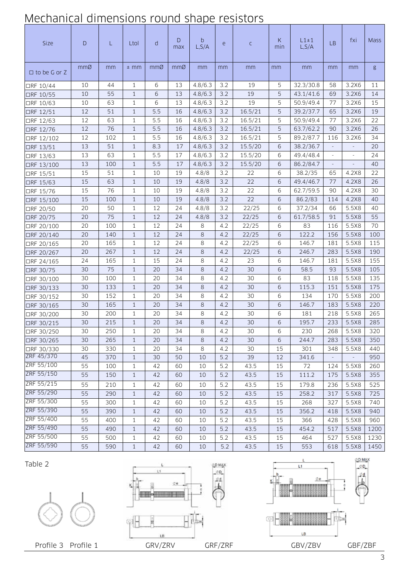# Mechanical dimensions round shape resistors

| Size                | $\mathsf{D}$ | L   | Ltol         | d   | D<br>max | b<br>L, S/A | e     | $\mathsf C$ | К<br>min | $L1 \pm 1$<br>L, S/A | <b>LB</b> | fxi                      | <b>Mass</b> |
|---------------------|--------------|-----|--------------|-----|----------|-------------|-------|-------------|----------|----------------------|-----------|--------------------------|-------------|
| $\Box$ to be G or Z | mmØ          | mm  | $±$ mm       | mmØ | mmØ      | mm          | mm    | mm          | mm       | mm                   | mm        | mm                       | g           |
| □RF 10/44           | 10           | 44  | $\mathbf{1}$ | 6   | 13       | 4.8/6.3     | 3.2   | 19          | 5        | 32.3/30.8            | 58        | 3.2X6                    | 11          |
| □RF 10/55           | 10           | 55  | $\mathbf{1}$ | 6   | 13       | 4.8/6.3     | 3.2   | 19          | 5        | 43.1/41.6            | 69        | 3.2X6                    | 14          |
| □RF 10/63           | 10           | 63  | 1            | 6   | 13       | 4.8/6.3     | 3.2   | 19          | 5        | 50.9/49.4            | 77        | 3.2X6                    | 15          |
| □RF 12/51           | 12           | 51  | $\mathbf{1}$ | 5.5 | 16       | 4.8/6.3     | 3.2   | 16.5/21     | 5        | 39.2/37.7            | 65        | 3.2X6                    | 19          |
| □RF 12/63           | 12           | 63  | 1            | 5.5 | 16       | 4.8/6.3     | 3.2   | 16.5/21     | 5        | 50.9/49.4            | 77        | 3.2X6                    | 22          |
| □RF 12/76           | 12           | 76  | $\mathbf{1}$ | 5.5 | 16       | 4.8/6.3     | 3.2   | 16.5/21     | 5        | 63.7/62.2            | 90        | 3.2X6                    | 26          |
| □RF 12/102          | 12           | 102 | $\mathbf{1}$ | 5.5 | 16       | 4.8/6.3     | 3.2   | 16.5/21     | 5        | 89.2/87.7            | 116       | 3.2X6                    | 34          |
| □RF 13/51           | 13           | 51  | $\mathbf{1}$ | 8.3 | 17       | 4.8/6.3     | 3.2   | 15.5/20     | 6        | 38.2/36.7            |           |                          | 20          |
| □RF 13/63           | 13           | 63  | 1            | 5.5 | 17       | 4.8/6.3     | 3.2   | 15.5/20     | 6        | 49.4/48.4            | $\equiv$  | $\overline{\phantom{a}}$ | 24          |
| □RF 13/100          | 13           | 100 | $\mathbf{1}$ | 5.5 | 17       | 4.8/6.3     | 3.2   | 15.5/20     | 6        | 86.2/84.7            | ÷,        | L,                       | 40          |
| □RF 15/51           | 15           | 51  | 1            | 10  | 19       | 4.8/8       | 3.2   | 22          | 6        | 38.2/35              | 65        | 4.2X8                    | 22          |
| □RF 15/63           | 15           | 63  | $\mathbf{1}$ | 10  | 19       | 4.8/8       | 3.2   | 22          | 6        | 49.4/46.7            | 77        | 4.2X8                    | 26          |
| □RF 15/76           | 15           | 76  | $\mathbf{1}$ | 10  | 19       | 4.8/8       | 3.2   | 22          | 6        | 62.7/59.5            | 90        | 4.2X8                    | 30          |
| □RF 15/100          | 15           | 100 | $\mathbf{1}$ | 10  | 19       | 4.8/8       | 3.2   | 22          | 6        | 86.2/83              | 114       | 4.2X8                    | 40          |
| □RF 20/50           | 20           | 50  | 1            | 12  | 24       | 4.8/8       | 3.2   | 22/25       | 6        | 37.2/34              | 66        | 5.5X8                    | 40          |
| □RF 20/75           | 20           | 75  | $\mathbf{1}$ | 12  | 24       | 4.8/8       | 3.2   | 22/25       | 6        | 61.7/58.5            | 91        | 5.5X8                    | 55          |
| □RF 20/100          | 20           | 100 | $\mathbf{1}$ | 12  | 24       | 8           | 4.2   | 22/25       | 6        | 83                   | 116       | 5.5X8                    | 70          |
| □RF 20/140          | 20           | 140 | $\mathbf{1}$ | 12  | 24       | 8           | 4.2   | 22/25       | 6        | 122.2                | 156       | 5.5X8                    | 100         |
| □RF 20/165          | 20           | 165 | 1            | 12  | 24       | 8           | 4.2   | 22/25       | 6        | 146.7                | 181       | 5.5X8                    | 115         |
| □RF 20/267          | 20           | 267 | $\mathbf{1}$ | 12  | 24       | 8           | 4.2   | 22/25       | 6        | 246.7                | 283       | 5.5X8                    | 190         |
| □RF 24/165          | 24           | 165 | 1            | 15  | 24       | 8           | 4.2   | 23          | 6        | 146.7                | 181       | 5.5X8                    | 155         |
| □RF 30/75           | 30           | 75  | $\mathbf{1}$ | 20  | 34       | 8           | 4.2   | 30          | 6        | 58.5                 | 93        | 5.5X8                    | 105         |
| □RF 30/100          | 30           | 100 | 1            | 20  | 34       | 8           | 4.2   | 30          | 6        | 83                   | 118       | 5.5X8                    | 135         |
| □RF 30/133          | 30           | 133 | $\mathbf{1}$ | 20  | 34       | 8           | 4.2   | 30          | 6        | 115.3                | 151       | 5.5X8                    | 175         |
| □RF 30/152          | 30           | 152 | 1            | 20  | 34       | 8           | 4.2   | 30          | 6        | 134                  | 170       | 5.5X8                    | 200         |
| □RF 30/165          | 30           | 165 | $\mathbf{1}$ | 20  | 34       | 8           | 4.2   | 30          | 6        | 146.7                | 183       | 5.5X8                    | 220         |
| □RF 30/200          | 30           | 200 | 1            | 20  | 34       | 8           | 4.2   | 30          | 6        | 181                  | 218       | 5.5X8                    | 265         |
| □RF 30/215          | 30           | 215 | $\mathbf{1}$ | 20  | 34       | 8           | 4.2   | 30          | 6        | 195.7                | 233       | 5.5X8                    | 285         |
| □RF 30/250          | 30           | 250 | 1            | 20  | 34       | 8           | 4.2   | 30          | 6        | 230                  | 268       | 5.5X8                    | 320         |
| □RF 30/265          | 30           | 265 | $\mathbf{1}$ | 20  | 34       | 8           | 4.2   | 30          | 6        | 244.7                | 283       | 5.5X8                    | 350         |
| □RF 30/330          | 30           | 330 | $\mathbf{1}$ | 20  | 34       | 8           | 4.2   | 30          | 15       | 301                  | 348       | 5.5X8                    | 440         |
| ZRF 45/370          | 45           | 370 | $\mathbf{1}$ | 30  | 50       | 10          | 5.2   | 39          | 12       | 341.6                |           |                          | 950         |
| ZRF 55/100          | 55           | 100 | 1            | 42  | 60       | 10          | 5.2   | 43.5        | 15       | 72                   | 124       | 5.5X8                    | 260         |
| ZRF 55/150          | 55           | 150 | $\mathbf{1}$ | 42  | 60       | 10          | 5.2   | 43.5        | 15       | 111.2                | 175       | 5.5X8                    | 355         |
| ZRF 55/215          | 55           | 210 | 1            | 42  | 60       | 10          | 5.2   | 43.5        | 15       | 179.8                | 236       | 5.5X8                    | 525         |
| ZRF 55/290          | 55           | 290 | $\mathbf{1}$ | 42  | 60       | 10          | 5.2   | 43.5        | 15       | 258.2                | 317       | 5.5X8                    | 725         |
| ZRF 55/300          | 55           | 300 | $\mathbf{1}$ | 42  | 60       | 10          | 5.2   | 43.5        | 15       | 268                  | 327       | 5.5X8                    | 740         |
| ZRF 55/390          | 55           | 390 | $\mathbf{1}$ | 42  | 60       | 10          | 5.2   | 43.5        | 15       | 356.2                | 418       | 5.5X8                    | 940         |
| ZRF 55/400          | 55           | 400 | $\mathbf{1}$ | 42  | 60       | 10          | 5.2   | 43.5        | 15       | 366                  | 428       | 5.5X8                    | 960         |
| ZRF 55/490          | 55           | 490 | $\mathbf{1}$ | 42  | 60       | 10          | 5.2   | 43.5        | 15       | 454.2                | 517       | 5.5X8                    | 1200        |
| ZRF 55/500          | 55           | 500 | 1            | 42  | 60       | 10          | 5.2   | 43.5        | 15       | 464                  | 527       | 5.5X8                    | 1230        |
| ZRF 55/590          | 55           | 590 | $\mathbf{1}$ | 42  | 60       | 10          | $5.2$ | 43.5        | 15       | 553                  | 618       | 5.5X8                    | 1450        |

Table 2





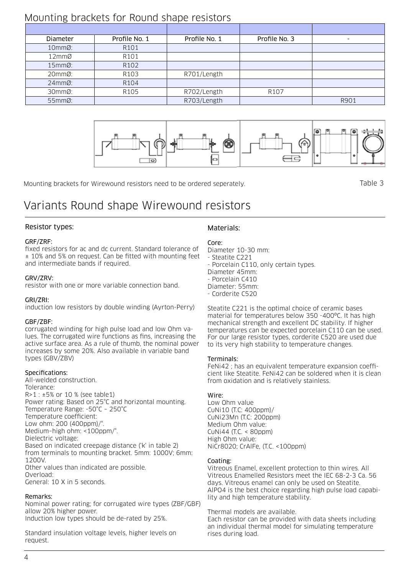## Mounting brackets for Round shape resistors

| ັ                 |                  |               |                  |      |
|-------------------|------------------|---------------|------------------|------|
|                   |                  |               |                  |      |
| Diameter          | Profile No. 1    | Profile No. 1 | Profile No. 3    |      |
| $10mm$ $\alpha$ : | R <sub>101</sub> |               |                  |      |
| 12mmØ             | R101             |               |                  |      |
| $15mm2$ :         | R102             |               |                  |      |
| 20mmØ:            | R103             | R701/Length   |                  |      |
| $24mm2$ :         | R104             |               |                  |      |
| 30mmØ:            | R105             | R702/Length   | R <sub>107</sub> |      |
| 55mmØ:            |                  | R703/Length   |                  | R901 |



Mounting brackets for Wirewound resistors need to be ordered seperately.

Table 3

## Variants Round shape Wirewound resistors

## Resistor types:

## GRF/ZRF:

fixed resistors for ac and dc current. Standard tolerance of ± 10% and 5% on request. Can be fitted with mounting feet and intermediate bands if required.

### GRV/ZRV:

resistor with one or more variable connection band.

## GRI/ZRI:

induction low resistors by double winding (Ayrton-Perry)

## GBF/ZBF:

corrugated winding for high pulse load and low Ohm values. The corrugated wire functions as fins, increasing the active surface area. As a rule of thumb, the nominal power increases by some 20%. Also available in variable band types (GBV/ZBV)

## Specifications:

All-welded construction. Tolerance: R>1 : ±5% or 10 % (see table1) Power rating: Based on 25°C and horizontal mounting. Temperature Range: -50°C – 250°C Temperature coefficient: Low ohm: 200 (400ppm)/°. Medium–high ohm: <100ppm/°. Dielectric voltage: Based on indicated creepage distance ('k' in table 2) from terminals to mounting bracket. 5mm: 1000V; 6mm: 1200V. Other values than indicated are possible. Overload: General: 10 X in 5 seconds.

## Remarks:

Nominal power rating; for corrugated wire types (ZBF/GBF) allow 20% higher power. Induction low types should be de-rated by 25%.

Standard insulation voltage levels, higher levels on request.

## Materials:

## Core:

Diameter 10-30 mm:

- Steatite C221

- Porcelain C110, only certain types.

- Diameter 45mm:
- Porcelain C410
- Diameter: 55mm:

- Corderite C520

Steatite C221 is the optimal choice of ceramic bases material for temperatures below 350 -400ºC. It has high mechanical strength and excellent DC stability. If higher temperatures can be expected porcelain C110 can be used. For our large resistor types, corderite C520 are used due to its very high stability to temperature changes.

### Terminals:

FeNi42 ; has an equivalent temperature expansion coefficient like Steatite. FeNi42 can be soldered when it is clean from oxidation and is relatively stainless.

## Wire:

Low Ohm value CuNi10 (T.C: 400ppm)/ CuNi23Mn (T.C: 200ppm) Medium Ohm value: CuNi44 (T.C. < 80ppm) High Ohm value: NiCr8020; CrAlFe, (T.C. <100ppm)

## Coating:

Vitreous Enamel, excellent protection to thin wires. All Vitreous Enamelled Resistors meet the IEC 68-2-3 Ca. 56 days. Vitreous enamel can only be used on Steatite. AlPO4 is the best choice regarding high pulse load capability and high temperature stability.

### Thermal models are available.

Each resistor can be provided with data sheets including an individual thermal model for simulating temperature rises during load.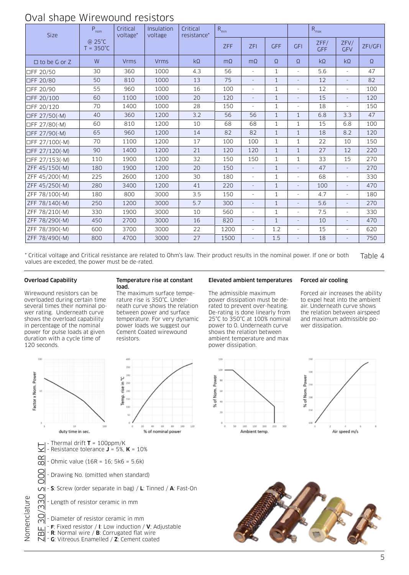## Oval shape Wirewound resistors

| Size                | P <sub>nom</sub>             | Critical<br>voltage* | Insulation<br>voltage | Critical<br>resistance* | $R_{min}$ |                          |              |                          | $R_{\text{max}}$   |                          |          |
|---------------------|------------------------------|----------------------|-----------------------|-------------------------|-----------|--------------------------|--------------|--------------------------|--------------------|--------------------------|----------|
|                     | @ 25°C<br>$T = 350^{\circ}C$ |                      |                       |                         | ZFF       | <b>ZFI</b>               | <b>GFF</b>   | <b>GFI</b>               | ZFF/<br><b>GFF</b> | ZFV/<br><b>GFV</b>       | ZFI/GFI  |
| $\Box$ to be G or Z | W                            | <b>Vrms</b>          | <b>Vrms</b>           | $k\Omega$               | $m\Omega$ | $m\Omega$                | Ω            | $\Omega$                 | $k\Omega$          | $k\Omega$                | $\Omega$ |
| □FF 20/50           | 30                           | 360                  | 1000                  | 4.3                     | 56        | $\bar{a}$                | $\mathbf{1}$ | $\overline{\phantom{a}}$ | 5.6                | $\overline{\phantom{a}}$ | 47       |
| □FF 20/80           | 50                           | 810                  | 1000                  | 13                      | 75        | $\overline{a}$           | $\mathbf{1}$ | $\overline{\phantom{a}}$ | 12                 | $\overline{\phantom{a}}$ | 82       |
| □FF 20/90           | 55                           | 960                  | 1000                  | 16                      | 100       | $\bar{a}$                | $\mathbf{1}$ | $\overline{\phantom{a}}$ | 12                 | $\overline{\phantom{a}}$ | 100      |
| □FF 20/100          | 60                           | 1100                 | 1000                  | 20                      | 120       | $\overline{\phantom{a}}$ | $\mathbf{1}$ | $\overline{\phantom{a}}$ | 15                 | $\equiv$                 | 120      |
| □FF 20/120          | 70                           | 1400                 | 1000                  | 28                      | 150       | $\overline{\phantom{a}}$ | 1            | $\overline{\phantom{a}}$ | 18                 | $\overline{\phantom{a}}$ | 150      |
| □FF 27/50(-M)       | 40                           | 360                  | 1200                  | 3.2                     | 56        | 56                       | $\mathbf{1}$ | $\mathbf{1}$             | 6.8                | 3.3                      | 47       |
| □FF 27/80(-M)       | 60                           | 810                  | 1200                  | 10                      | 68        | 68                       | $\mathbf{1}$ | $\mathbf{1}$             | 15                 | 6.8                      | 100      |
| □FF 27/90(-M)       | 65                           | 960                  | 1200                  | 14                      | 82        | 82                       | $\mathbf{1}$ | $\mathbf{1}$             | 18                 | 8.2                      | 120      |
| □FF 27/100(-M)      | 70                           | 1100                 | 1200                  | 17                      | 100       | 100                      | $\mathbf{1}$ | $\mathbf{1}$             | 22                 | 10                       | 150      |
| □FF 27/120(-M)      | 90                           | 1400                 | 1200                  | 21                      | 120       | 120                      | $\mathbf{1}$ | $\mathbf{1}$             | 27                 | 12                       | 220      |
| □FF 27/153(-M)      | 110                          | 1900                 | 1200                  | 32                      | 150       | 150                      | $\mathbf{1}$ | $\mathbf{1}$             | 33                 | 15                       | 270      |
| ZFF 45/150(-M)      | 180                          | 1900                 | 1200                  | 20                      | 150       | $\overline{\phantom{a}}$ | $\mathbf{1}$ | $\overline{\phantom{a}}$ | 47                 | $\overline{\phantom{a}}$ | 270      |
| ZFF 45/200(-M)      | 225                          | 2600                 | 1200                  | 30                      | 180       | ä,                       | $\mathbf{1}$ | $\overline{\phantom{a}}$ | 68                 | $\overline{\phantom{a}}$ | 330      |
| ZFF 45/250(-M)      | 280                          | 3400                 | 1200                  | 41                      | 220       | $\overline{\phantom{a}}$ | $\mathbf{1}$ | $\overline{\phantom{a}}$ | 100                |                          | 470      |
| ZFF 78/100(-M)      | 180                          | 800                  | 3000                  | 3.5                     | 150       | $\equiv$                 | $\mathbf{1}$ | $\overline{\phantom{a}}$ | 4.7                | $\overline{\phantom{a}}$ | 180      |
| ZFF 78/140(-M)      | 250                          | 1200                 | 3000                  | 5.7                     | 300       | $\overline{\phantom{a}}$ | $\mathbf{1}$ | $\overline{\phantom{a}}$ | 5.6                | $\equiv$                 | 270      |
| ZFF 78/210(-M)      | 330                          | 1900                 | 3000                  | 10                      | 560       | $\bar{a}$                | $\mathbf{1}$ | $\overline{\phantom{a}}$ | 7.5                | $\equiv$                 | 330      |
| ZFF 78/290(-M)      | 450                          | 2700                 | 3000                  | 16                      | 820       | $\overline{\phantom{a}}$ | $\mathbf{1}$ | $\overline{\phantom{a}}$ | 10                 | $\equiv$                 | 470      |
| ZFF 78/390(-M)      | 600                          | 3700                 | 3000                  | 22                      | 1200      | ä,                       | 1.2          | $\overline{\phantom{a}}$ | 15                 | $\equiv$                 | 620      |
| ZFF 78/490(-M)      | 800                          | 4700                 | 3000                  | 27                      | 1500      | $\overline{\phantom{a}}$ | 1.5          |                          | 18                 |                          | 750      |

\* Critical voltage and Critical resistance are related to Ohm's law. Their product results in the nominal power. If one or both Table 4 values are exceded, the power must be de-rated.

#### Overload Capability

53

Wirewound resistors can be overloaded during certain time several times their nominal power rating. Underneath curve shows the overload capability in percentage of the nominal power for pulse loads at given duration with a cycle time of 120 seconds.

#### Temperature rise at constant load.

The maximum surface temperature rise is 350°C. Underneath curve shows the relation between power and surface temperature. For very dynamic power loads we suggest our Cement Coated wirewound resistors.

#### Elevated ambient temperatures

#### Forced air cooling

The admissible maximum power dissipation must be derated to prevent over-heating. De-rating is done linearly from 25°C to 350°C at 100% nominal power to 0. Underneath curve shows the relation between ambient temperature and max power dissipation.

Forced air increases the ability to expel heat into the ambient air. Underneath curve shows the relation between airspeed and maximum admissible power dissipation.



- G: Vitreous Enamelled / Z: Cement coated







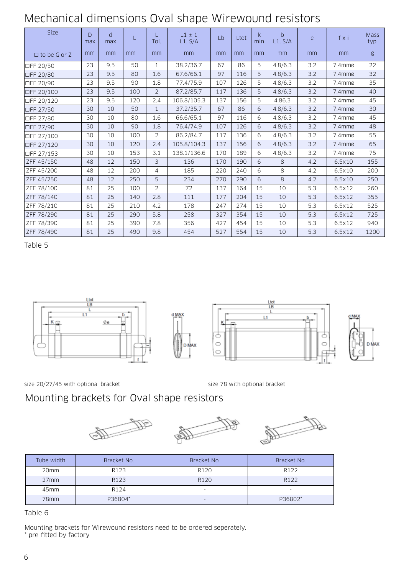## Mechanical dimensions Oval shape Wirewound resistors

| Size                | D<br>max | d<br>max |     | Tol.           | $L1 \pm 1$<br>L1. S/A | Lb  | Ltot | k.<br>min | b<br>L1. S/A | e   | fxi       | <b>Mass</b><br>typ. |
|---------------------|----------|----------|-----|----------------|-----------------------|-----|------|-----------|--------------|-----|-----------|---------------------|
| $\Box$ to be G or Z | mm       | mm       | mm  | mm             | mm                    | mm  | mm   | mm        | mm           | mm  | mm        | g                   |
| □FF 20/50           | 23       | 9.5      | 50  | $\mathbf{1}$   | 38.2/36.7             | 67  | 86   | 5         | 4.8/6.3      | 3.2 | 7.4mmø    | 22                  |
| □FF 20/80           | 23       | 9.5      | 80  | 1.6            | 67.6/66.1             | 97  | 116  | 5         | 4.8/6.3      | 3.2 | $7.4$ mmø | 32                  |
| □FF 20/90           | 23       | 9.5      | 90  | 1.8            | 77.4/75.9             | 107 | 126  | 5         | 4.8/6.3      | 3.2 | $7.4$ mmø | 35                  |
| □FF 20/100          | 23       | 9.5      | 100 | $\overline{2}$ | 87.2/85.7             | 117 | 136  | 5         | 4.8/6.3      | 3.2 | 7.4mmø    | 40                  |
| □FF 20/120          | 23       | 9.5      | 120 | 2.4            | 106.8/105.3           | 137 | 156  | 5         | 4.86.3       | 3.2 | 7.4mmø    | 45                  |
| □FF 27/50           | 30       | 10       | 50  | $\mathbf{1}$   | 37.2/35.7             | 67  | 86   | 6         | 4.8/6.3      | 3.2 | 7.4mmø    | 30                  |
| □FF 27/80           | 30       | 10       | 80  | 1.6            | 66.6/65.1             | 97  | 116  | 6         | 4.8/6.3      | 3.2 | 7.4mmø    | 45                  |
| □FF 27/90           | 30       | 10       | 90  | 1.8            | 76.4/74.9             | 107 | 126  | 6         | 4.8/6.3      | 3.2 | 7.4mmø    | 48                  |
| □FF 27/100          | 30       | 10       | 100 | 2              | 86.2/84.7             | 117 | 136  | 6         | 4.8/6.3      | 3.2 | 7.4mmø    | 55                  |
| □FF 27/120          | 30       | 10       | 120 | 2.4            | 105.8/104.3           | 137 | 156  | 6         | 4.8/6.3      | 3.2 | $7.4$ mmø | 65                  |
| □FF 27/153          | 30       | 10       | 153 | 3.1            | 138.1/136.6           | 170 | 189  | 6         | 4.8/6.3      | 3.2 | 7.4mmø    | 75                  |
| ZFF 45/150          | 48       | 12       | 150 | 3              | 136                   | 170 | 190  | 6         | 8            | 4.2 | 6.5x10    | 155                 |
| ZFF 45/200          | 48       | 12       | 200 | $\overline{4}$ | 185                   | 220 | 240  | 6         | 8            | 4.2 | 6.5x10    | 200                 |
| ZFF 45/250          | 48       | 12       | 250 | 5              | 234                   | 270 | 290  | 6         | $\,8\,$      | 4.2 | 6.5x10    | 250                 |
| ZFF 78/100          | 81       | 25       | 100 | $\overline{2}$ | 72                    | 137 | 164  | 15        | 10           | 5.3 | 6.5x12    | 260                 |
| ZFF 78/140          | 81       | 25       | 140 | 2.8            | 111                   | 177 | 204  | 15        | 10           | 5.3 | 6.5x12    | 355                 |
| ZFF 78/210          | 81       | 25       | 210 | 4.2            | 178                   | 247 | 274  | 15        | 10           | 5.3 | 6.5x12    | 525                 |
| ZFF 78/290          | 81       | 25       | 290 | 5.8            | 258                   | 327 | 354  | 15        | 10           | 5.3 | 6.5x12    | 725                 |
| ZFF 78/390          | 81       | 25       | 390 | 7.8            | 356                   | 427 | 454  | 15        | 10           | 5.3 | 6.5x12    | 940                 |
| ZFF 78/490          | 81       | 25       | 490 | 9.8            | 454                   | 527 | 554  | 15        | 10           | 5.3 | 6.5x12    | 1200                |

Table 5









size 20/27/45 with optional bracket size 78 with optional bracket

## Mounting brackets for Oval shape resistors







| Tube width       | Bracket No.      | Bracket No.              | Bracket No.              |
|------------------|------------------|--------------------------|--------------------------|
| 20 <sub>mm</sub> | R <sub>123</sub> | R <sub>120</sub>         | R <sub>122</sub>         |
| 27mm             | R <sub>123</sub> | R <sub>120</sub>         | R <sub>122</sub>         |
| 45mm             | R <sub>124</sub> | $\overline{\phantom{0}}$ | $\overline{\phantom{0}}$ |
| 78mm             | P36804*          | ۰                        | P36802*                  |

Table 6

Mounting brackets for Wirewound resistors need to be ordered seperately. \* pre-fitted by factory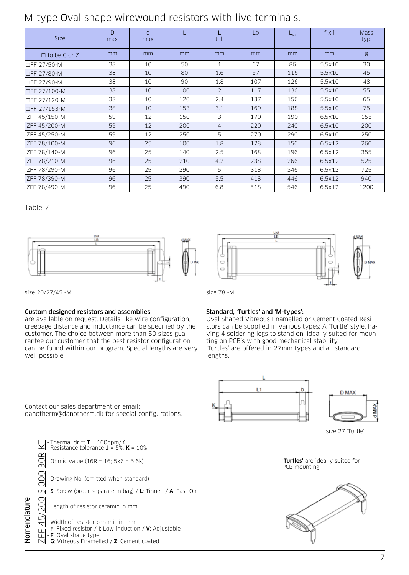## M-type Oval shape wirewound resistors with live terminals.

| <b>Size</b>          | $\Gamma$<br>max | $\mathsf{d}$<br>max |     | tol.           | Lb  | $L_{\text{tot}}$ | fxi    | <b>Mass</b><br>typ. |
|----------------------|-----------------|---------------------|-----|----------------|-----|------------------|--------|---------------------|
| $\Box$ to be G or Z  | mm              | mm                  | mm  | mm             | mm  | mm               | mm     | g                   |
| <b>OFF 27/50-M</b>   | 38              | 10                  | 50  | 1              | 67  | 86               | 5.5x10 | 30                  |
| <b>□FF 27/80-M</b>   | 38              | 10                  | 80  | 1.6            | 97  | 116              | 5.5x10 | 45                  |
| <b>I</b> ⊡FF 27/90-M | 38              | 10                  | 90  | 1.8            | 107 | 126              | 5.5x10 | 48                  |
| □FF 27/100-M         | 38              | 10                  | 100 | $\overline{2}$ | 117 | 136              | 5.5x10 | 55                  |
| □FF 27/120-M         | 38              | 10                  | 120 | 2.4            | 137 | 156              | 5.5×10 | 65                  |
| □FF 27/153-M         | 38              | 10                  | 153 | 3.1            | 169 | 188              | 5.5x10 | 75                  |
| ZFF 45/150-M         | 59              | 12                  | 150 | 3              | 170 | 190              | 6.5x10 | 155                 |
| ZFF 45/200-M         | 59              | 12                  | 200 | $\overline{4}$ | 220 | 240              | 6.5×10 | 200                 |
| ZFF 45/250-M         | 59              | 12                  | 250 | 5              | 270 | 290              | 6.5x10 | 250                 |
| ZFF 78/100-M         | 96              | 25                  | 100 | 1.8            | 128 | 156              | 6.5x12 | 260                 |
| ZFF 78/140-M         | 96              | 25                  | 140 | 2.5            | 168 | 196              | 6.5x12 | 355                 |
| ZFF 78/210-M         | 96              | 25                  | 210 | 4.2            | 238 | 266              | 6.5x12 | 525                 |
| ZFF 78/290-M         | 96              | 25                  | 290 | 5              | 318 | 346              | 6.5x12 | 725                 |
| ZFF 78/390-M         | 96              | 25                  | 390 | 5.5            | 418 | 446              | 6.5x12 | 940                 |
| ZFF 78/490-M         | 96              | 25                  | 490 | 6.8            | 518 | 546              | 6.5x12 | 1200                |

## Table 7





size 20/27/45 -M size 78 -M

## Custom designed resistors and assemblies

are available on request. Details like wire configuration, creepage distance and inductance can be specified by the customer. The choice between more than 50 sizes guarantee our customer that the best resistor configuration can be found within our program. Special lengths are very well possible.

## Standard, 'Turtles' and 'M-types':

Oval Shaped Vitreous Enamelled or Cement Coated Resistors can be supplied in various types: A 'Turtle' style, having 4 soldering legs to stand on, ideally suited for mounting on PCB's with good mechanical stability. 'Turtles' are offered in 27mm types and all standard lengths.



size 27 'Turtle'





Contact our sales department or email: danotherm@danotherm.dk for special configurations.

|              | $\vert$ - Thermal drift <b>T</b> = 100ppm/K<br> - Resistance tolerance <b>J</b> = 5%, <b>K</b> = 10%                                 |
|--------------|--------------------------------------------------------------------------------------------------------------------------------------|
|              | $-$ Ohmic value (16R = 16; 5k6 = 5.6k)                                                                                               |
|              | - Drawing No. (omitted when standard)                                                                                                |
|              | $\Box$ - S: Screw (order separate in bag) / L: Tinned / A: Fast-On                                                                   |
|              | - Length of resistor ceramic in mm                                                                                                   |
| Nomenclature | - Width of resistor ceramic in mm<br>F: Fixed resistor / I: Low induction / $V$ : Adjustable<br>$\vert$ - <b>F</b> : Oval shape type |
|              | $\overline{N}$ - G: Vitreous Enamelled / Z: Cement coated                                                                            |
|              |                                                                                                                                      |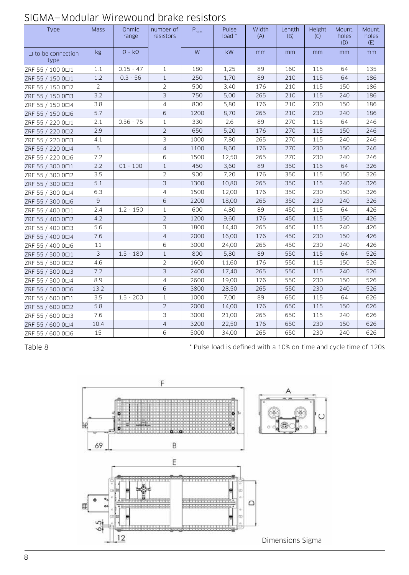| Type                            | <b>Mass</b>    | Ohmic<br>range       | number of<br>resistors | $P_{nom}$ | Pulse<br>load * | Width<br>(A) | Length<br>(B) | Height<br>(C) | Mount.<br>holes<br>(D) | Mount.<br>holes<br>(E) |
|---------------------------------|----------------|----------------------|------------------------|-----------|-----------------|--------------|---------------|---------------|------------------------|------------------------|
| $\Box$ to be connection<br>type | <b>kg</b>      | $\Omega$ - $k\Omega$ |                        | ${\sf W}$ | <b>kW</b>       | mm           | mm            | mm            | mm                     | mm                     |
| ZRF 55 / 100 001                | 1.1            | $0.15 - 47$          | $\mathbf{1}$           | 180       | 1,25            | 89           | 160           | 115           | 64                     | 135                    |
| ZRF 55 / 150 001                | 1.2            | $0.3 - 56$           | $\mathbf{1}$           | 250       | 1,70            | 89           | 210           | 115           | 64                     | 186                    |
| ZRF 55 / 150 002                | $\overline{2}$ |                      | $\overline{2}$         | 500       | 3,40            | 176          | 210           | 115           | 150                    | 186                    |
| ZRF 55 / 150 0□3                | 3.2            |                      | 3                      | 750       | 5,00            | 265          | 210           | 115           | 240                    | 186                    |
| ZRF 55 / 150 004                | 3.8            |                      | $\overline{4}$         | 800       | 5,80            | 176          | 210           | 230           | 150                    | 186                    |
| ZRF 55 / 150 0□6                | 5.7            |                      | 6                      | 1200      | 8,70            | 265          | 210           | 230           | 240                    | 186                    |
| ZRF 55 / 220 001                | 2.1            | $0.56 - 75$          | $\mathbf{1}$           | 330       | 2.6             | 89           | 270           | 115           | 64                     | 246                    |
| ZRF 55 / 220 002                | 2.9            |                      | $\overline{2}$         | 650       | 5,20            | 176          | 270           | 115           | 150                    | 246                    |
| ZRF 55 / 220 0□3                | 4.1            |                      | 3                      | 1000      | 7,80            | 265          | 270           | 115           | 240                    | 246                    |
| ZRF 55 / 220 004                | 5              |                      | $\overline{4}$         | 1100      | 8,60            | 176          | 270           | 230           | 150                    | 246                    |
| ZRF 55 / 220 0□6                | 7.2            |                      | 6                      | 1500      | 12,50           | 265          | 270           | 230           | 240                    | 246                    |
| ZRF 55 / 300 001                | 2.2            | $01 - 100$           | $\mathbf{1}$           | 450       | 3,60            | 89           | 350           | 115           | 64                     | 326                    |
| ZRF 55 / 300 002                | 3.5            |                      | $\overline{2}$         | 900       | 7,20            | 176          | 350           | 115           | 150                    | 326                    |
| ZRF 55 / 300 003                | 5.1            |                      | 3                      | 1300      | 10,80           | 265          | 350           | 115           | 240                    | 326                    |
| ZRF 55 / 300 0□4                | 6.3            |                      | $\overline{4}$         | 1500      | 12,00           | 176          | 350           | 230           | 150                    | 326                    |
| ZRF 55 / 300 0□6                | 9              |                      | 6                      | 2200      | 18,00           | 265          | 350           | 230           | 240                    | 326                    |
| ZRF 55 / 400 0□1                | 2.4            | $1.2 - 150$          | $\mathbf{1}$           | 600       | 4,80            | 89           | 450           | 115           | 64                     | 426                    |
| ZRF 55 / 400 002                | 4.2            |                      | $\overline{2}$         | 1200      | 9,60            | 176          | 450           | 115           | 150                    | 426                    |
| ZRF 55 / 400 0□3                | 5.6            |                      | 3                      | 1800      | 14,40           | 265          | 450           | 115           | 240                    | 426                    |
| ZRF 55 / 400 0□4                | 7.6            |                      | $\sqrt{4}$             | 2000      | 16,00           | 176          | 450           | 230           | 150                    | 426                    |
| ZRF 55 / 400 0□6                | 11             |                      | 6                      | 3000      | 24,00           | 265          | 450           | 230           | 240                    | 426                    |
| ZRF 55 / 500 0□1                | $\mathfrak{Z}$ | $1.5 - 180$          | $1\,$                  | 800       | 5,80            | 89           | 550           | 115           | 64                     | 526                    |
| ZRF 55 / 500 002                | 4.6            |                      | $\overline{2}$         | 1600      | 11,60           | 176          | 550           | 115           | 150                    | 526                    |
| ZRF 55 / 500 0□3                | 7.2            |                      | 3                      | 2400      | 17,40           | 265          | 550           | 115           | 240                    | 526                    |
| ZRF 55 / 500 0□4                | 8.9            |                      | $\overline{4}$         | 2600      | 19,00           | 176          | 550           | 230           | 150                    | 526                    |
| ZRF 55 / 500 0□6                | 13.2           |                      | 6                      | 3800      | 28,50           | 265          | 550           | 230           | 240                    | 526                    |
| ZRF 55 / 600 0□1                | 3.5            | $1.5 - 200$          | $1\,$                  | 1000      | 7,00            | 89           | 650           | 115           | 64                     | 626                    |
| ZRF 55 / 600 002                | 5.8            |                      | $\overline{2}$         | 2000      | 14,00           | 176          | 650           | 115           | 150                    | 626                    |
| ZRF 55 / 600 0□3                | 7.6            |                      | 3                      | 3000      | 21,00           | 265          | 650           | 115           | 240                    | 626                    |
| ZRF 55 / 600 004                | 10.4           |                      | $\overline{4}$         | 3200      | 22,50           | 176          | 650           | 230           | 150                    | 626                    |
| ZRF 55 / 600 006                | 15             |                      | 6                      | 5000      | 34,00           | 265          | 650           | 230           | 240                    | 626                    |

## SIGMA—Modular Wirewound brake resistors

Table 8

\* Pulse load is defined with a 10% on-time and cycle time of 120s

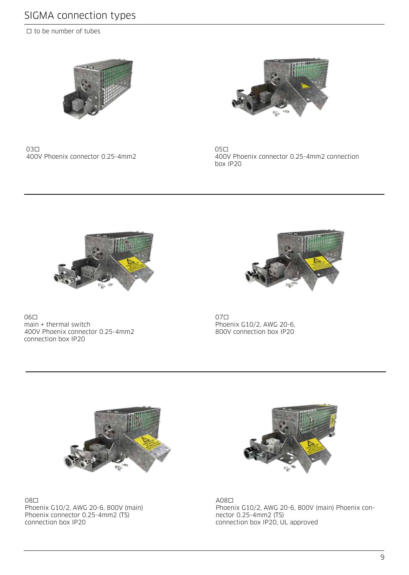## SIGMA connection types

□ to be number of tubes



<sup>03</sup>□ 400V Phoenix connector 0.25-4mm2



<sup>05</sup>□ 400V Phoenix connector 0.25-4mm2 connection box IP20



<sup>06</sup>□ main + thermal switch 400V Phoenix connector 0.25-4mm2 connection box IP20



<sup>07</sup>□ Phoenix G10/2, AWG 20-6, 800V connection box IP20



<sup>08</sup>□ Phoenix G10/2, AWG 20-6, 800V (main) Phoenix connector 0.25-4mm2 (TS) connection box IP20



A08□ Phoenix G10/2, AWG 20-6, 800V (main) Phoenix connector 0.25-4mm2 (TS) connection box IP20, UL approved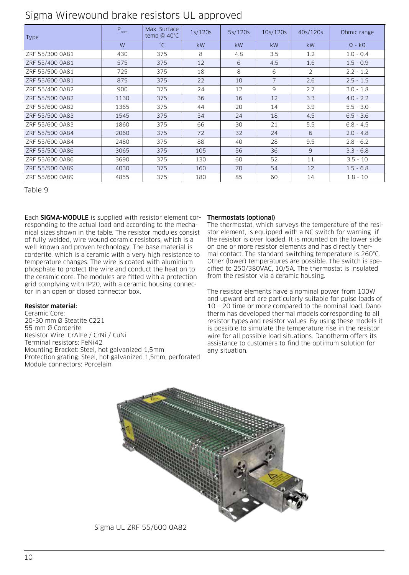| Type            | $P_{nom}$ | Max. Surface<br>temp @ $40^{\circ}$ C | 1s/120s   | 5s/120s   | 10s/120s       | 40s/120s  | Ohmic range          |
|-----------------|-----------|---------------------------------------|-----------|-----------|----------------|-----------|----------------------|
|                 | W         | $^{\circ}C$                           | <b>kW</b> | <b>kW</b> | kW             | <b>kW</b> | $\Omega$ - $k\Omega$ |
| ZRF 55/300 0A81 | 430       | 375                                   | 8         | 4.8       | 3.5            | 1.2       | $1.0 - 0.4$          |
| ZRF 55/400 0A81 | 575       | 375                                   | 12        | 6         | 4.5            | 1.6       | $1.5 - 0.9$          |
| ZRF 55/500 0A81 | 725       | 375                                   | 18        | 8         | 6              | 2         | $2.2 - 1.2$          |
| ZRF 55/600 0A81 | 875       | 375                                   | 22        | 10        | $\overline{7}$ | 2.6       | $2.5 - 1.5$          |
| ZRF 55/400 0A82 | 900       | 375                                   | 24        | 12        | 9              | 2.7       | $3.0 - 1.8$          |
| ZRF 55/500 0A82 | 1130      | 375                                   | 36        | 16        | 12             | 3.3       | $4.0 - 2.2$          |
| ZRF 55/600 0A82 | 1365      | 375                                   | 44        | 20        | 14             | 3.9       | $5.5 - 3.0$          |
| ZRF 55/500 0A83 | 1545      | 375                                   | 54        | 24        | 18             | 4.5       | $6.5 - 3.6$          |
| ZRF 55/600 0A83 | 1860      | 375                                   | 66        | 30        | 21             | 5.5       | $6.8 - 4.5$          |
| ZRF 55/500 0A84 | 2060      | 375                                   | 72        | 32        | 24             | 6         | $2.0 - 4.8$          |
| ZRF 55/600 0A84 | 2480      | 375                                   | 88        | 40        | 28             | 9.5       | $2.8 - 6.2$          |
| ZRF 55/500 0A86 | 3065      | 375                                   | 105       | 56        | 36             | 9         | $3.3 - 6.8$          |
| ZRF 55/600 0A86 | 3690      | 375                                   | 130       | 60        | 52             | 11        | $3.5 - 10$           |
| ZRF 55/500 0A89 | 4030      | 375                                   | 160       | 70        | 54             | 12        | $1.5 - 6.8$          |
| ZRF 55/600 0A89 | 4855      | 375                                   | 180       | 85        | 60             | 14        | $1.8 - 10$           |

Table 9

Each SIGMA-MODULE is supplied with resistor element corresponding to the actual load and according to the mechanical sizes shown in the table. The resistor modules consist of fully welded, wire wound ceramic resistors, which is a well-known and proven technology. The base material is corderite, which is a ceramic with a very high resistance to temperature changes. The wire is coated with aluminium phosphate to protect the wire and conduct the heat on to the ceramic core. The modules are fitted with a protection grid complying with IP20, with a ceramic housing connector in an open or closed connector box.

## Resistor material:

Ceramic Core: 20-30 mm Ø Steatite C221 55 mm Ø Corderite Resistor Wire: CrAlFe / CrNi / CuNi Terminal resistors: FeNi42 Mounting Bracket: Steel, hot galvanized 1,5mm Protection grating: Steel, hot galvanized 1,5mm, perforated Module connectors: Porcelain

## Thermostats (optional)

The thermostat, which surveys the temperature of the resistor element, is equipped with a NC switch for warning if the resistor is over loaded. It is mounted on the lower side on one or more resistor elements and has directly thermal contact. The standard switching temperature is 260°C. Other (lower) temperatures are possible. The switch is specified to 250/380VAC, 10/5A. The thermostat is insulated from the resistor via a ceramic housing.

The resistor elements have a nominal power from 100W and upward and are particularly suitable for pulse loads of 10 – 20 time or more compared to the nominal load. Danotherm has developed thermal models corresponding to all resistor types and resistor values. By using these models it is possible to simulate the temperature rise in the resistor wire for all possible load situations. Danotherm offers its assistance to customers to find the optimum solution for any situation.



Sigma UL ZRF 55/600 0A82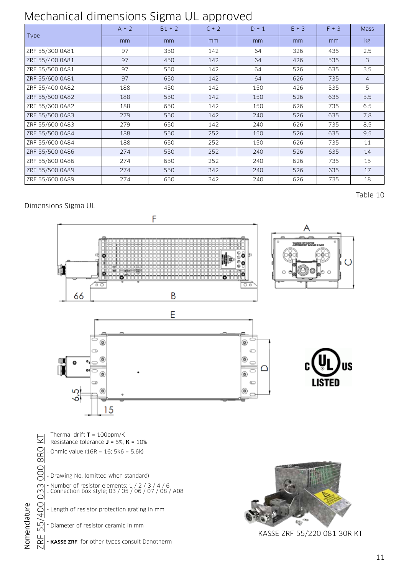# Mechanical dimensions Sigma UL approved

|                 | $A \pm 2$ | $B1 \pm 2$ | $C \pm 2$ | $D \pm 1$ | $E \pm 3$ | $F \pm 3$ | <b>Mass</b>     |
|-----------------|-----------|------------|-----------|-----------|-----------|-----------|-----------------|
| <b>Type</b>     | mm        | mm         | mm        | mm        | mm        | mm        | kg <sub>2</sub> |
| ZRF 55/300 0A81 | 97        | 350        | 142       | 64        | 326       | 435       | 2.5             |
| ZRF 55/400 0A81 | 97        | 450        | 142       | 64        | 426       | 535       | 3               |
| ZRF 55/500 0A81 | 97        | 550        | 142       | 64        | 526       | 635       | 3.5             |
| ZRF 55/600 0A81 | 97        | 650        | 142       | 64        | 626       | 735       | $\overline{4}$  |
| ZRF 55/400 0A82 | 188       | 450        | 142       | 150       | 426       | 535       | 5               |
| ZRF 55/500 0A82 | 188       | 550        | 142       | 150       | 526       | 635       | 5.5             |
| ZRF 55/600 0A82 | 188       | 650        | 142       | 150       | 626       | 735       | 6.5             |
| ZRF 55/500 0A83 | 279       | 550        | 142       | 240       | 526       | 635       | 7.8             |
| ZRF 55/600 0A83 | 279       | 650        | 142       | 240       | 626       | 735       | 8.5             |
| ZRF 55/500 0A84 | 188       | 550        | 252       | 150       | 526       | 635       | 9.5             |
| ZRF 55/600 0A84 | 188       | 650        | 252       | 150       | 626       | 735       | 11              |
| ZRF 55/500 0A86 | 274       | 550        | 252       | 240       | 526       | 635       | 14              |
| ZRF 55/600 0A86 | 274       | 650        | 252       | 240       | 626       | 735       | 15              |
| ZRF 55/500 0A89 | 274       | 550        | 342       | 240       | 526       | 635       | 17              |
| ZRF 55/600 0A89 | 274       | 650        | 342       | 240       | 626       | 735       | 18              |

## Dimensions Sigma UL

Nomenclature

Nomenclature



Table 10